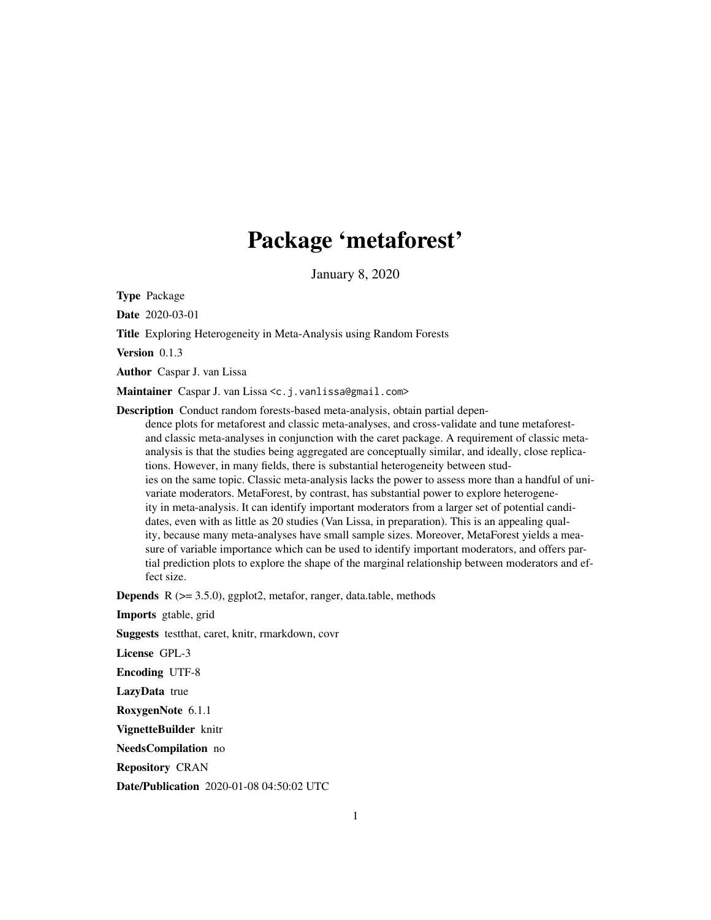## Package 'metaforest'

January 8, 2020

<span id="page-0-0"></span>Type Package

Date 2020-03-01

Title Exploring Heterogeneity in Meta-Analysis using Random Forests

Version 0.1.3

Author Caspar J. van Lissa

Maintainer Caspar J. van Lissa <c.j.vanlissa@gmail.com>

Description Conduct random forests-based meta-analysis, obtain partial dependence plots for metaforest and classic meta-analyses, and cross-validate and tune metaforestand classic meta-analyses in conjunction with the caret package. A requirement of classic metaanalysis is that the studies being aggregated are conceptually similar, and ideally, close replications. However, in many fields, there is substantial heterogeneity between studies on the same topic. Classic meta-analysis lacks the power to assess more than a handful of univariate moderators. MetaForest, by contrast, has substantial power to explore heterogeneity in meta-analysis. It can identify important moderators from a larger set of potential candidates, even with as little as 20 studies (Van Lissa, in preparation). This is an appealing quality, because many meta-analyses have small sample sizes. Moreover, MetaForest yields a measure of variable importance which can be used to identify important moderators, and offers partial prediction plots to explore the shape of the marginal relationship between moderators and effect size.

**Depends** R  $(>= 3.5.0)$ , ggplot2, metafor, ranger, data.table, methods

Imports gtable, grid

Suggests testthat, caret, knitr, rmarkdown, covr

License GPL-3

Encoding UTF-8

LazyData true

RoxygenNote 6.1.1

VignetteBuilder knitr

NeedsCompilation no

Repository CRAN

Date/Publication 2020-01-08 04:50:02 UTC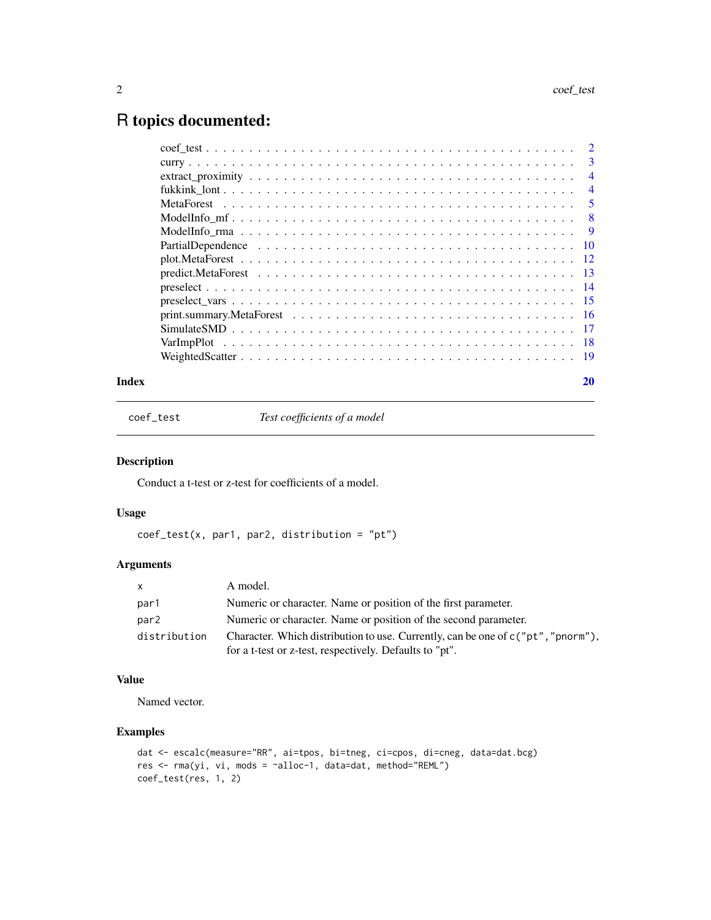## <span id="page-1-0"></span>R topics documented:

| $\overline{\mathbf{3}}$ |
|-------------------------|
| $\overline{4}$          |
| $\overline{4}$          |
| 5                       |
| 8                       |
| -9                      |
|                         |
|                         |
|                         |
|                         |
|                         |
|                         |
|                         |
|                         |
|                         |
|                         |

## $\bf 1$ ndex  $\bf 20$  $\bf 20$

coef\_test *Test coefficients of a model*

## Description

Conduct a t-test or z-test for coefficients of a model.

## Usage

coef\_test(x, par1, par2, distribution = "pt")

## Arguments

| X.           | A model.                                                                           |
|--------------|------------------------------------------------------------------------------------|
| par1         | Numeric or character. Name or position of the first parameter.                     |
| par2         | Numeric or character. Name or position of the second parameter.                    |
| distribution | Character. Which distribution to use. Currently, can be one of $c("pt", "pnorm"),$ |
|              | for a t-test or z-test, respectively. Defaults to "pt".                            |

## Value

Named vector.

```
dat <- escalc(measure="RR", ai=tpos, bi=tneg, ci=cpos, di=cneg, data=dat.bcg)
res <- rma(yi, vi, mods = ~alloc-1, data=dat, method="REML")
coef_test(res, 1, 2)
```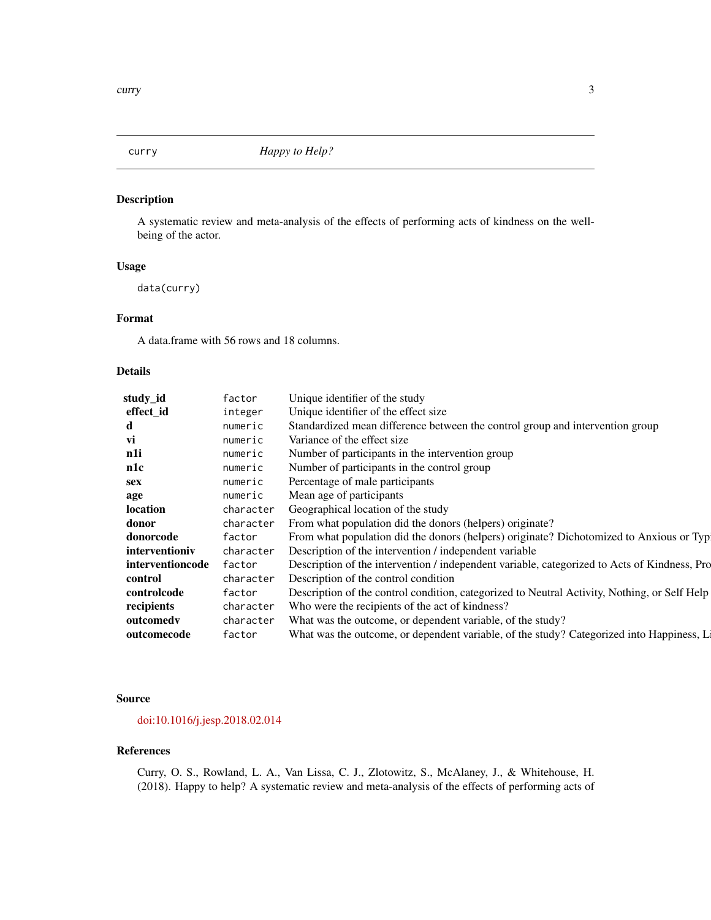<span id="page-2-0"></span>

A systematic review and meta-analysis of the effects of performing acts of kindness on the wellbeing of the actor.

#### Usage

data(curry)

## Format

A data.frame with 56 rows and 18 columns.

#### Details

| study_id         | factor    | Unique identifier of the study                                                               |
|------------------|-----------|----------------------------------------------------------------------------------------------|
| effect_id        | integer   | Unique identifier of the effect size                                                         |
| d                | numeric   | Standardized mean difference between the control group and intervention group                |
| vi               | numeric   | Variance of the effect size.                                                                 |
| n1i              | numeric   | Number of participants in the intervention group                                             |
| n1c              | numeric   | Number of participants in the control group                                                  |
| sex              | numeric   | Percentage of male participants                                                              |
| age              | numeric   | Mean age of participants                                                                     |
| location         | character | Geographical location of the study                                                           |
| donor            | character | From what population did the donors (helpers) originate?                                     |
| donorcode        | factor    | From what population did the donors (helpers) originate? Dichotomized to Anxious or Typ      |
| interventioniv   | character | Description of the intervention / independent variable                                       |
| interventioncode | factor    | Description of the intervention / independent variable, categorized to Acts of Kindness, Pro |
| control          | character | Description of the control condition                                                         |
| controlcode      | factor    | Description of the control condition, categorized to Neutral Activity, Nothing, or Self Help |
| recipients       | character | Who were the recipients of the act of kindness?                                              |
| outcomedy        | character | What was the outcome, or dependent variable, of the study?                                   |
| outcomecode      | factor    | What was the outcome, or dependent variable, of the study? Categorized into Happiness, L     |

#### Source

## [doi:10.1016/j.jesp.2018.02.014](https://doi.org/10.1016/j.jesp.2018.02.014)

#### References

Curry, O. S., Rowland, L. A., Van Lissa, C. J., Zlotowitz, S., McAlaney, J., & Whitehouse, H. (2018). Happy to help? A systematic review and meta-analysis of the effects of performing acts of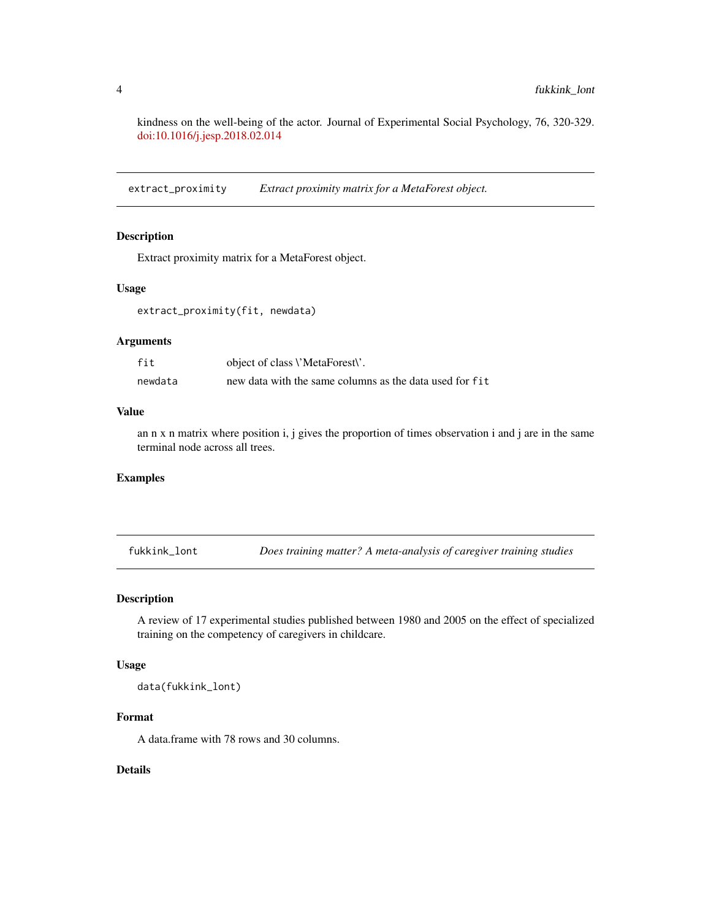kindness on the well-being of the actor. Journal of Experimental Social Psychology, 76, 320-329. [doi:10.1016/j.jesp.2018.02.014](https://doi.org/10.1016/j.ecresq.2007.04.005)

extract\_proximity *Extract proximity matrix for a MetaForest object.*

## Description

Extract proximity matrix for a MetaForest object.

#### Usage

extract\_proximity(fit, newdata)

## Arguments

| fit     | object of class <i>\'MetaForest\'</i> .                 |
|---------|---------------------------------------------------------|
| newdata | new data with the same columns as the data used for fit |

#### Value

an n x n matrix where position i, j gives the proportion of times observation i and j are in the same terminal node across all trees.

### Examples

fukkink\_lont *Does training matter? A meta-analysis of caregiver training studies*

#### Description

A review of 17 experimental studies published between 1980 and 2005 on the effect of specialized training on the competency of caregivers in childcare.

#### Usage

data(fukkink\_lont)

## Format

A data.frame with 78 rows and 30 columns.

#### Details

<span id="page-3-0"></span>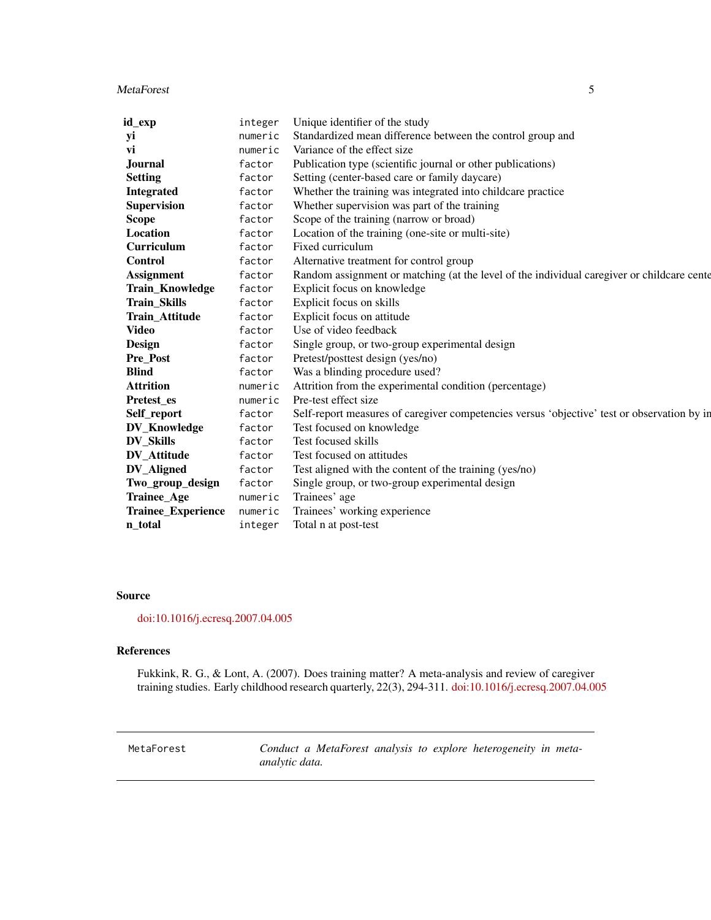#### <span id="page-4-0"></span>MetaForest 5

| id_exp                    | integer | Unique identifier of the study                                                              |
|---------------------------|---------|---------------------------------------------------------------------------------------------|
| уi                        | numeric | Standardized mean difference between the control group and                                  |
| vi                        | numeric | Variance of the effect size                                                                 |
| <b>Journal</b>            | factor  | Publication type (scientific journal or other publications)                                 |
| <b>Setting</b>            | factor  | Setting (center-based care or family daycare)                                               |
| <b>Integrated</b>         | factor  | Whether the training was integrated into childcare practice                                 |
| <b>Supervision</b>        | factor  | Whether supervision was part of the training                                                |
| <b>Scope</b>              | factor  | Scope of the training (narrow or broad)                                                     |
| Location                  | factor  | Location of the training (one-site or multi-site)                                           |
| <b>Curriculum</b>         | factor  | Fixed curriculum                                                                            |
| <b>Control</b>            | factor  | Alternative treatment for control group                                                     |
| <b>Assignment</b>         | factor  | Random assignment or matching (at the level of the individual caregiver or childcare cente  |
| <b>Train_Knowledge</b>    | factor  | Explicit focus on knowledge                                                                 |
| Train_Skills              | factor  | Explicit focus on skills                                                                    |
| Train_Attitude            | factor  | Explicit focus on attitude                                                                  |
| Video                     | factor  | Use of video feedback                                                                       |
| Design                    | factor  | Single group, or two-group experimental design                                              |
| <b>Pre_Post</b>           | factor  | Pretest/posttest design (yes/no)                                                            |
| <b>Blind</b>              | factor  | Was a blinding procedure used?                                                              |
| <b>Attrition</b>          | numeric | Attrition from the experimental condition (percentage)                                      |
| Pretest_es                | numeric | Pre-test effect size                                                                        |
| Self_report               | factor  | Self-report measures of caregiver competencies versus 'objective' test or observation by in |
| <b>DV_Knowledge</b>       | factor  | Test focused on knowledge                                                                   |
| <b>DV Skills</b>          | factor  | Test focused skills                                                                         |
| DV Attitude               | factor  | Test focused on attitudes                                                                   |
| <b>DV_Aligned</b>         | factor  | Test aligned with the content of the training (yes/no)                                      |
| Two_group_design          | factor  | Single group, or two-group experimental design                                              |
| Trainee_Age               | numeric | Trainees' age                                                                               |
| <b>Trainee_Experience</b> | numeric | Trainees' working experience                                                                |
| n total                   | integer | Total n at post-test                                                                        |

#### Source

## [doi:10.1016/j.ecresq.2007.04.005](https://doi.org/10.1016/j.ecresq.2007.04.005)

## References

Fukkink, R. G., & Lont, A. (2007). Does training matter? A meta-analysis and review of caregiver training studies. Early childhood research quarterly, 22(3), 294-311. [doi:10.1016/j.ecresq.2007.04.005](https://doi.org/10.1016/j.ecresq.2007.04.005)

<span id="page-4-1"></span>MetaForest *Conduct a MetaForest analysis to explore heterogeneity in metaanalytic data.*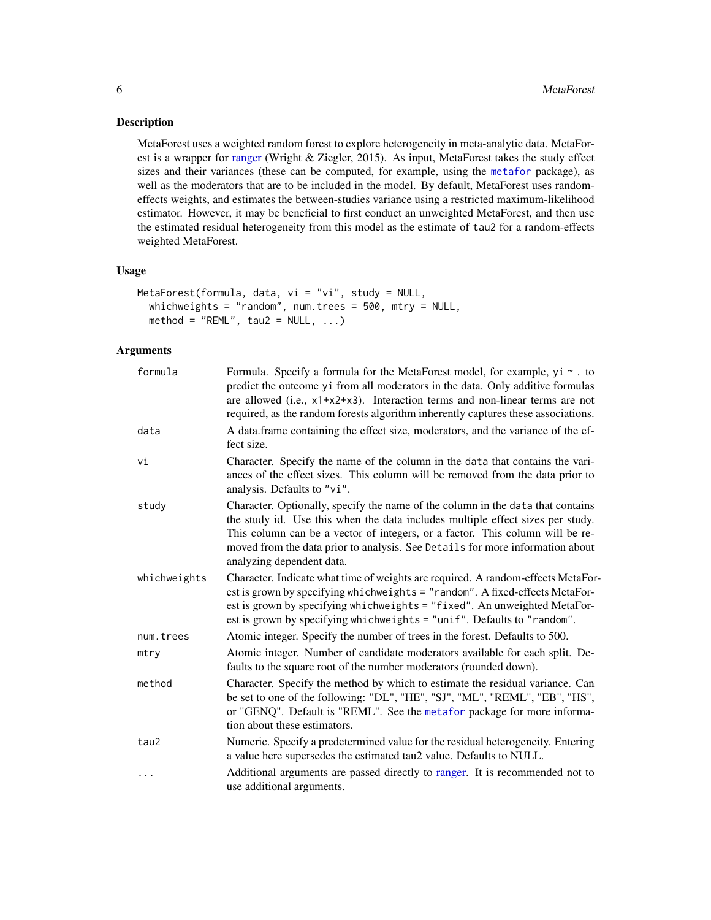<span id="page-5-0"></span>MetaForest uses a weighted random forest to explore heterogeneity in meta-analytic data. MetaForest is a wrapper for [ranger](#page-0-0) (Wright & Ziegler, 2015). As input, MetaForest takes the study effect sizes and their variances (these can be computed, for example, using the [metafor](#page-0-0) package), as well as the moderators that are to be included in the model. By default, MetaForest uses randomeffects weights, and estimates the between-studies variance using a restricted maximum-likelihood estimator. However, it may be beneficial to first conduct an unweighted MetaForest, and then use the estimated residual heterogeneity from this model as the estimate of tau2 for a random-effects weighted MetaForest.

#### Usage

```
MetaForest(formula, data, vi = "vi", study = NULL,
 whichweights = "random", num.trees = 500, mtry = NULL,
 method = "REML", tau2 = NULL, ...)
```

| formula      | Formula. Specify a formula for the MetaForest model, for example, $yi \sim$ . to<br>predict the outcome yi from all moderators in the data. Only additive formulas<br>are allowed (i.e., x1+x2+x3). Interaction terms and non-linear terms are not<br>required, as the random forests algorithm inherently captures these associations.                          |
|--------------|------------------------------------------------------------------------------------------------------------------------------------------------------------------------------------------------------------------------------------------------------------------------------------------------------------------------------------------------------------------|
| data         | A data.frame containing the effect size, moderators, and the variance of the ef-<br>fect size.                                                                                                                                                                                                                                                                   |
| vi           | Character. Specify the name of the column in the data that contains the vari-<br>ances of the effect sizes. This column will be removed from the data prior to<br>analysis. Defaults to "vi".                                                                                                                                                                    |
| study        | Character. Optionally, specify the name of the column in the data that contains<br>the study id. Use this when the data includes multiple effect sizes per study.<br>This column can be a vector of integers, or a factor. This column will be re-<br>moved from the data prior to analysis. See Details for more information about<br>analyzing dependent data. |
| whichweights | Character. Indicate what time of weights are required. A random-effects MetaFor-<br>est is grown by specifying whichweights = "random". A fixed-effects MetaFor-<br>est is grown by specifying whichweights = "fixed". An unweighted MetaFor-<br>est is grown by specifying whichweights = "unif". Defaults to "random".                                         |
| num.trees    | Atomic integer. Specify the number of trees in the forest. Defaults to 500.                                                                                                                                                                                                                                                                                      |
| mtrv         | Atomic integer. Number of candidate moderators available for each split. De-<br>faults to the square root of the number moderators (rounded down).                                                                                                                                                                                                               |
| method       | Character. Specify the method by which to estimate the residual variance. Can<br>be set to one of the following: "DL", "HE", "SJ", "ML", "REML", "EB", "HS",<br>or "GENQ". Default is "REML". See the metafor package for more informa-<br>tion about these estimators.                                                                                          |
| tau2         | Numeric. Specify a predetermined value for the residual heterogeneity. Entering<br>a value here supersedes the estimated tau2 value. Defaults to NULL.                                                                                                                                                                                                           |
| .            | Additional arguments are passed directly to ranger. It is recommended not to<br>use additional arguments.                                                                                                                                                                                                                                                        |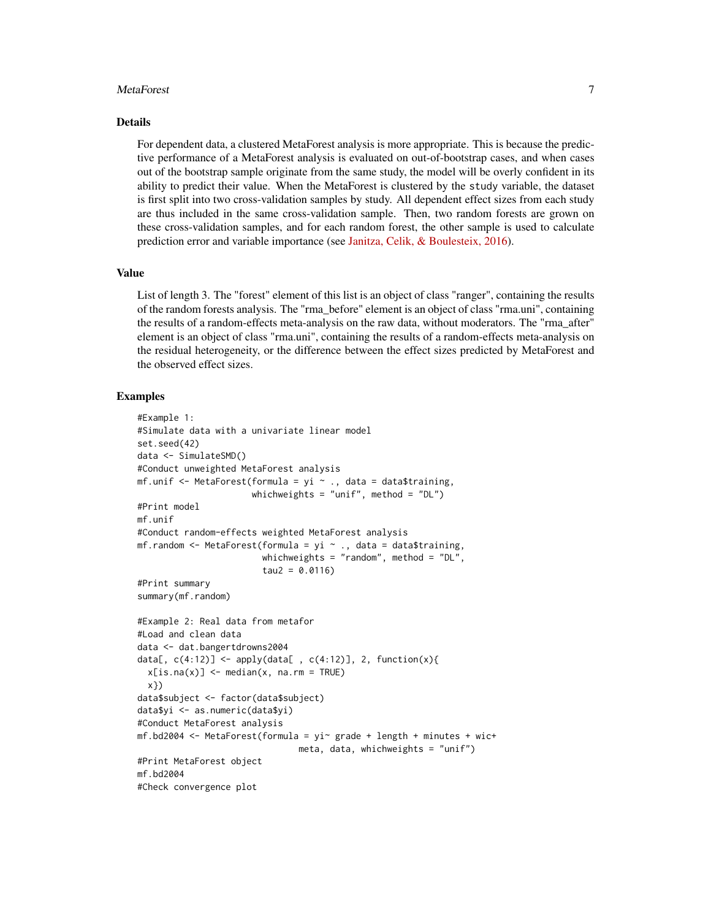#### MetaForest 7

#### Details

For dependent data, a clustered MetaForest analysis is more appropriate. This is because the predictive performance of a MetaForest analysis is evaluated on out-of-bootstrap cases, and when cases out of the bootstrap sample originate from the same study, the model will be overly confident in its ability to predict their value. When the MetaForest is clustered by the study variable, the dataset is first split into two cross-validation samples by study. All dependent effect sizes from each study are thus included in the same cross-validation sample. Then, two random forests are grown on these cross-validation samples, and for each random forest, the other sample is used to calculate prediction error and variable importance (see [Janitza, Celik, & Boulesteix, 2016\)](http://doi.org/10.1007/s11634-016-0276-4).

#### Value

List of length 3. The "forest" element of this list is an object of class "ranger", containing the results of the random forests analysis. The "rma\_before" element is an object of class "rma.uni", containing the results of a random-effects meta-analysis on the raw data, without moderators. The "rma\_after" element is an object of class "rma.uni", containing the results of a random-effects meta-analysis on the residual heterogeneity, or the difference between the effect sizes predicted by MetaForest and the observed effect sizes.

```
#Example 1:
#Simulate data with a univariate linear model
set.seed(42)
data <- SimulateSMD()
#Conduct unweighted MetaForest analysis
mf.unif \leq MetaForest(formula = yi \sim ., data = data$training,
                      whichweights = "unif", method = "DL")
#Print model
mf.unif
#Conduct random-effects weighted MetaForest analysis
mf.random <- MetaForest(formula = yi \sim ., data = data$training,
                        whichweights = "random", method = "DL",
                        tau2 = 0.0116#Print summary
summary(mf.random)
#Example 2: Real data from metafor
#Load and clean data
data <- dat.bangertdrowns2004
data[, c(4:12)] <- apply(data[, c(4:12)], 2, function(x){
  x[i s, na(x)] <- median(x, na.rm = TRUE)
  x})
data$subject <- factor(data$subject)
data$yi <- as.numeric(data$yi)
#Conduct MetaForest analysis
mf.bd2004 <- MetaForest(formula = yi grade + length + minutes + wic+
                               meta, data, whichweights = "unif")
#Print MetaForest object
mf.bd2004
#Check convergence plot
```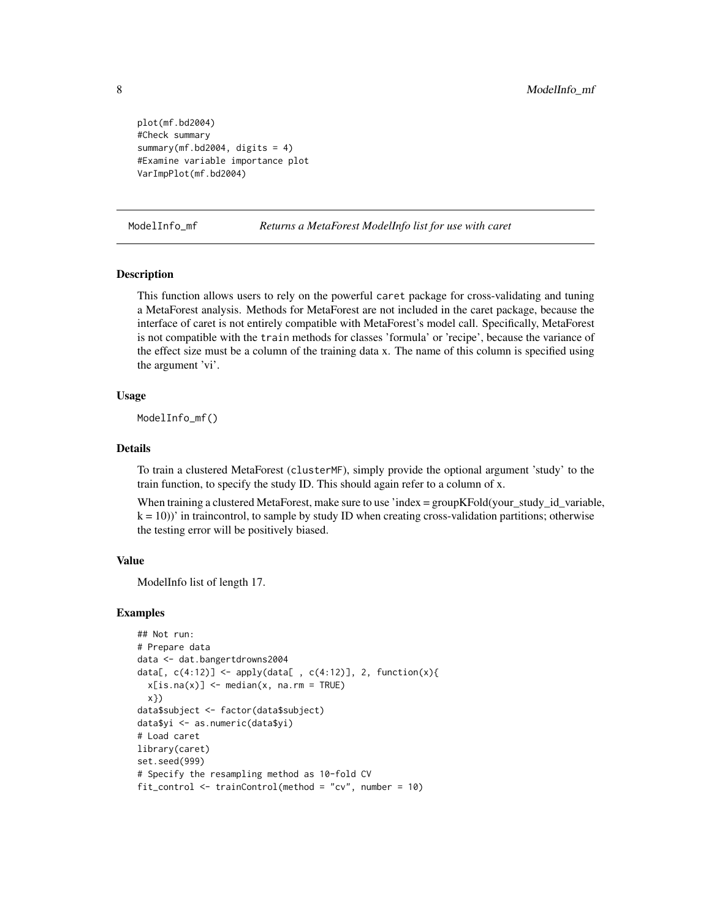```
plot(mf.bd2004)
#Check summary
summary(mf.bd2004, digits = 4)
#Examine variable importance plot
VarImpPlot(mf.bd2004)
```
ModelInfo\_mf *Returns a MetaForest ModelInfo list for use with caret*

#### **Description**

This function allows users to rely on the powerful caret package for cross-validating and tuning a MetaForest analysis. Methods for MetaForest are not included in the caret package, because the interface of caret is not entirely compatible with MetaForest's model call. Specifically, MetaForest is not compatible with the train methods for classes 'formula' or 'recipe', because the variance of the effect size must be a column of the training data x. The name of this column is specified using the argument 'vi'.

#### Usage

ModelInfo\_mf()

## Details

To train a clustered MetaForest (clusterMF), simply provide the optional argument 'study' to the train function, to specify the study ID. This should again refer to a column of x.

When training a clustered MetaForest, make sure to use 'index  $=$  groupKFold(your study id variable,  $k = 10$ ))' in traincontrol, to sample by study ID when creating cross-validation partitions; otherwise the testing error will be positively biased.

#### Value

ModelInfo list of length 17.

```
## Not run:
# Prepare data
data <- dat.bangertdrowns2004
data[, c(4:12)] <- apply(data[, c(4:12)], 2, function(x){
 x[is.na(x)] \le - \text{median}(x, \text{na.rm = TRUE})x})
data$subject <- factor(data$subject)
data$yi <- as.numeric(data$yi)
# Load caret
library(caret)
set.seed(999)
# Specify the resampling method as 10-fold CV
fit_control <- trainControl(method = "cv", number = 10)
```
<span id="page-7-0"></span>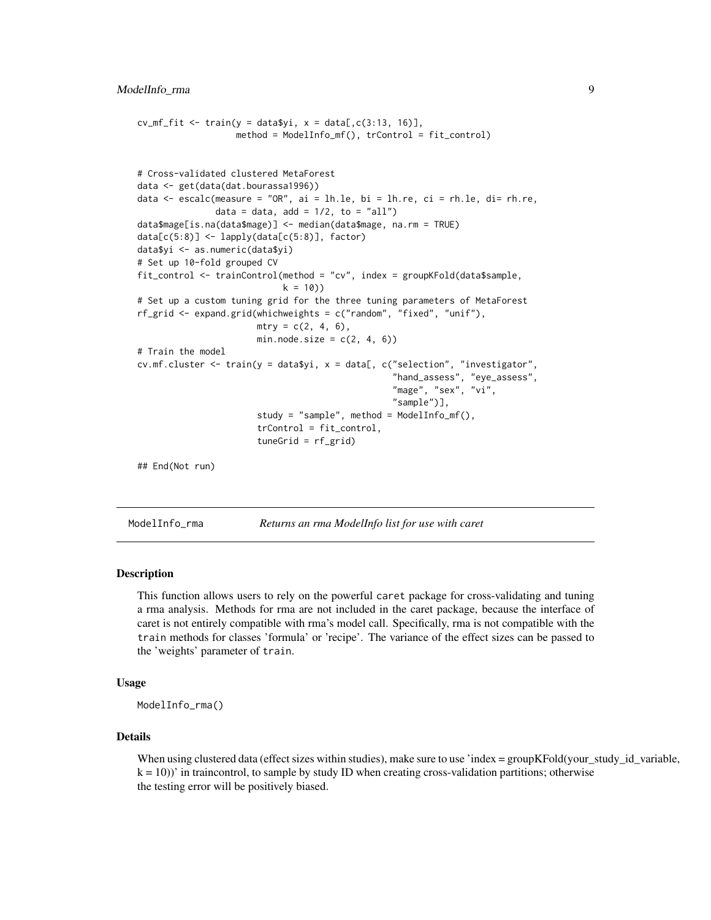```
cv_mf_fit \leq train(y = data$yi, x = data[,c(3:13, 16)],
                   method = ModelInfo_mf(), trControl = fit_control)
# Cross-validated clustered MetaForest
data <- get(data(dat.bourassa1996))
data <- escalc(measure = "OR", ai = lh.le, bi = lh.re, ci = rh.le, di= rh.re,
               data = data, add = 1/2, to = "all")
data$mage[is.na(data$mage)] <- median(data$mage, na.rm = TRUE)
data[c(5:8)] <- lapply(data[c(5:8)], factor)
data$yi <- as.numeric(data$yi)
# Set up 10-fold grouped CV
fit_control <- trainControl(method = "cv", index = groupKFold(data$sample,
                            k = 10)# Set up a custom tuning grid for the three tuning parameters of MetaForest
rf_grid <- expand.grid(whichweights = c("random", "fixed", "unif"),
                       mtry = c(2, 4, 6),min.node.size = c(2, 4, 6))
# Train the model
cv.mf.cluster \leq train(y = data$yi, x = data[, c("selection", "investigator",
                                                  "hand_assess", "eye_assess",
                                                  "mage", "sex", "vi",
                                                  "sample")],
                       study = "sample", method = ModelInfo_mf(),
                       trControl = fit_control,
                       tuneGrid = rf_grid)
## End(Not run)
```

|  | ModelInfo_rma | Returns an rma ModelInfo list for use with caret |
|--|---------------|--------------------------------------------------|
|--|---------------|--------------------------------------------------|

This function allows users to rely on the powerful caret package for cross-validating and tuning a rma analysis. Methods for rma are not included in the caret package, because the interface of caret is not entirely compatible with rma's model call. Specifically, rma is not compatible with the train methods for classes 'formula' or 'recipe'. The variance of the effect sizes can be passed to the 'weights' parameter of train.

#### Usage

ModelInfo\_rma()

### Details

When using clustered data (effect sizes within studies), make sure to use 'index = groupKFold(your\_study\_id\_variable,  $k = 10$ ))' in traincontrol, to sample by study ID when creating cross-validation partitions; otherwise the testing error will be positively biased.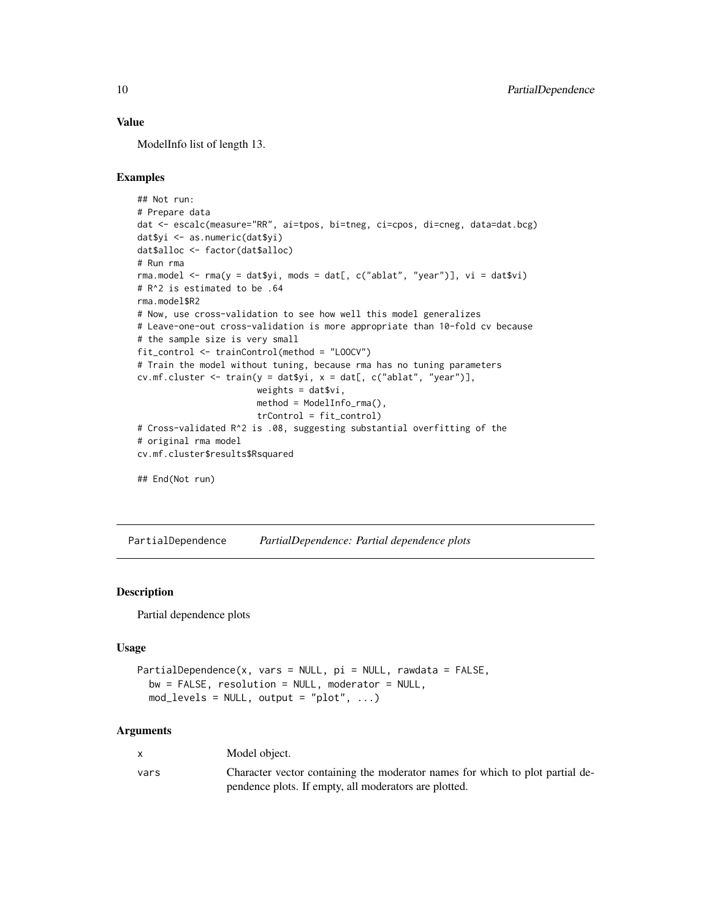## <span id="page-9-0"></span>Value

ModelInfo list of length 13.

## Examples

```
## Not run:
# Prepare data
dat <- escalc(measure="RR", ai=tpos, bi=tneg, ci=cpos, di=cneg, data=dat.bcg)
dat$yi <- as.numeric(dat$yi)
dat$alloc <- factor(dat$alloc)
# Run rma
rma.model <- rma(y = dat$yi, mods = dat[, c("ablat", "year")], vi = dat$vi)
# R^2 is estimated to be .64
rma.model$R2
# Now, use cross-validation to see how well this model generalizes
# Leave-one-out cross-validation is more appropriate than 10-fold cv because
# the sample size is very small
fit_control <- trainControl(method = "LOOCV")
# Train the model without tuning, because rma has no tuning parameters
cv.mf.cluster <- train(y = dat$yi, x = dat[, c("ablat", "year")],
                       weights = dat$vi,
                       method = ModelInfo_rma(),
                       trControl = fit_control)
# Cross-validated R^2 is .08, suggesting substantial overfitting of the
# original rma model
cv.mf.cluster$results$Rsquared
## End(Not run)
```
PartialDependence *PartialDependence: Partial dependence plots*

#### Description

Partial dependence plots

#### Usage

```
PartialDependence(x, vars = NULL, pi = NULL, rawdata = FALSE,
  bw = FALSE, resolution = NULL, modern = NULL,mod\_levels = NULL, output = "plot", ...)
```

| X    | Model object.                                                                 |
|------|-------------------------------------------------------------------------------|
| vars | Character vector containing the moderator names for which to plot partial de- |
|      | pendence plots. If empty, all moderators are plotted.                         |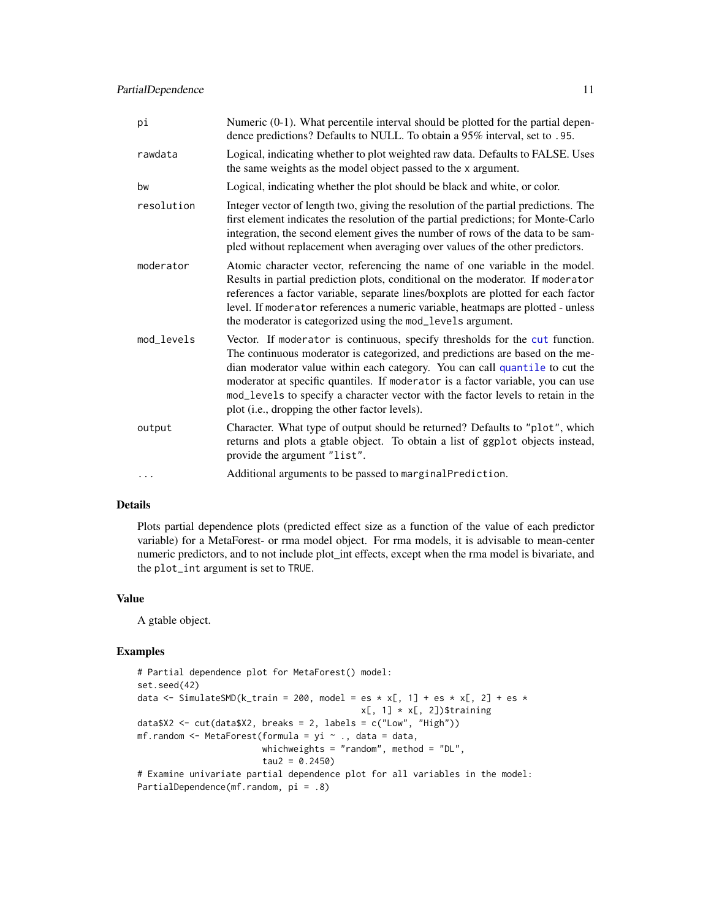## <span id="page-10-0"></span>PartialDependence 11

| pi         | Numeric $(0-1)$ . What percentile interval should be plotted for the partial depen-<br>dence predictions? Defaults to NULL. To obtain a 95% interval, set to .95.                                                                                                                                                                                                                                                                                                     |
|------------|-----------------------------------------------------------------------------------------------------------------------------------------------------------------------------------------------------------------------------------------------------------------------------------------------------------------------------------------------------------------------------------------------------------------------------------------------------------------------|
| rawdata    | Logical, indicating whether to plot weighted raw data. Defaults to FALSE. Uses<br>the same weights as the model object passed to the x argument.                                                                                                                                                                                                                                                                                                                      |
| bw         | Logical, indicating whether the plot should be black and white, or color.                                                                                                                                                                                                                                                                                                                                                                                             |
| resolution | Integer vector of length two, giving the resolution of the partial predictions. The<br>first element indicates the resolution of the partial predictions; for Monte-Carlo<br>integration, the second element gives the number of rows of the data to be sam-<br>pled without replacement when averaging over values of the other predictors.                                                                                                                          |
| moderator  | Atomic character vector, referencing the name of one variable in the model.<br>Results in partial prediction plots, conditional on the moderator. If moderator<br>references a factor variable, separate lines/boxplots are plotted for each factor<br>level. If moderator references a numeric variable, heatmaps are plotted - unless<br>the moderator is categorized using the mod_levels argument.                                                                |
| mod_levels | Vector. If moderator is continuous, specify thresholds for the cut function.<br>The continuous moderator is categorized, and predictions are based on the me-<br>dian moderator value within each category. You can call quantile to cut the<br>moderator at specific quantiles. If moderator is a factor variable, you can use<br>mod_levels to specify a character vector with the factor levels to retain in the<br>plot (i.e., dropping the other factor levels). |
| output     | Character. What type of output should be returned? Defaults to "plot", which<br>returns and plots a gtable object. To obtain a list of ggplot objects instead,<br>provide the argument "list".                                                                                                                                                                                                                                                                        |
|            | Additional arguments to be passed to marginalPrediction.                                                                                                                                                                                                                                                                                                                                                                                                              |

## Details

Plots partial dependence plots (predicted effect size as a function of the value of each predictor variable) for a MetaForest- or rma model object. For rma models, it is advisable to mean-center numeric predictors, and to not include plot\_int effects, except when the rma model is bivariate, and the plot\_int argument is set to TRUE.

## Value

A gtable object.

```
# Partial dependence plot for MetaForest() model:
set.seed(42)
data <- SimulateSMD(k_train = 200, model = es * x[, 1] + es * x[, 2] + es *
                                           x[, 1] * x[, 2])$training
data$X2 <- cut(data$X2, breaks = 2, labels = c("Low", "High"))
mf.random <- MetaForest(formula = yi ~ ., data = data,
                       whichweights = "random", method = "DL",
                        tau2 = 0.2450)# Examine univariate partial dependence plot for all variables in the model:
PartialDependence(mf.random, pi = .8)
```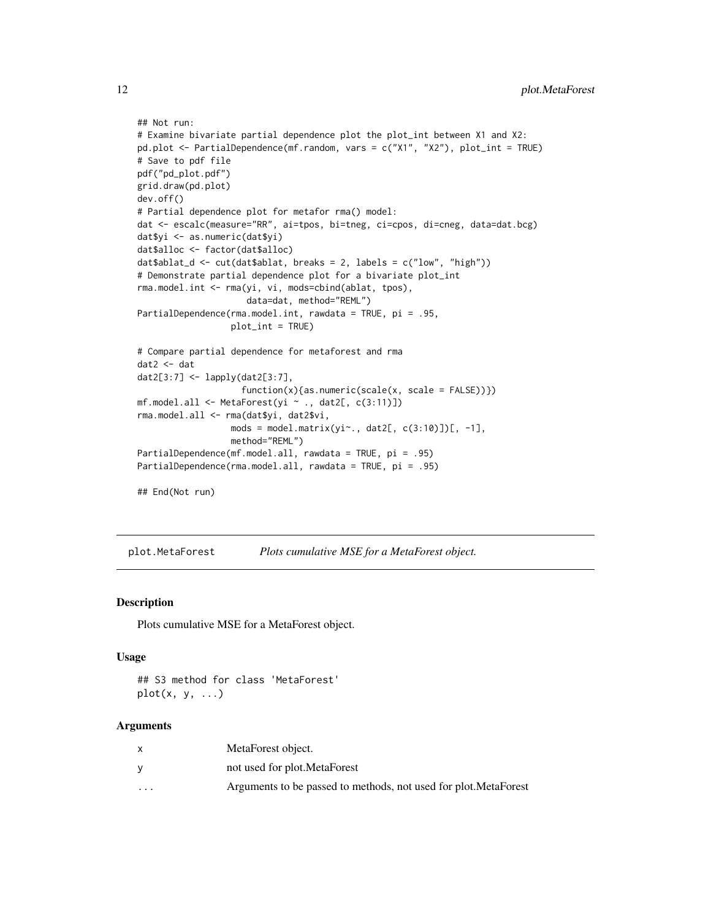```
## Not run:
# Examine bivariate partial dependence plot the plot_int between X1 and X2:
pd.plot <- PartialDependence(mf.random, vars = c("X1", "X2"), plot_int = TRUE)
# Save to pdf file
pdf("pd_plot.pdf")
grid.draw(pd.plot)
dev.off()
# Partial dependence plot for metafor rma() model:
dat <- escalc(measure="RR", ai=tpos, bi=tneg, ci=cpos, di=cneg, data=dat.bcg)
dat$yi <- as.numeric(dat$yi)
dat$alloc <- factor(dat$alloc)
dat$ablat_d <- cut(dat$ablat, breaks = 2, labels = c("low", "high"))
# Demonstrate partial dependence plot for a bivariate plot_int
rma.model.int <- rma(yi, vi, mods=cbind(ablat, tpos),
                     data=dat, method="REML")
PartialDependence(rma.model.int, rawdata = TRUE, pi = .95,
                  plot_int = TRUE)
# Compare partial dependence for metaforest and rma
dat2 <- dat
dat2[3:7] <- lapply(dat2[3:7],
                    function(x){as.numeric(scale(x, scale = FALSE))})
mf.model.all <- MetaForest(yi ~ ., dat2[, c(3:11)])
rma.model.all <- rma(dat$yi, dat2$vi,
                  mods = model.max(yi \sim, dat2[, c(3:10)])[, -1],method="REML")
PartialDependence(mf.model.all, rawdata = TRUE, pi = .95)
PartialDependence(rma.model.all, rawdata = TRUE, pi = .95)
## End(Not run)
```
plot.MetaForest *Plots cumulative MSE for a MetaForest object.*

#### Description

Plots cumulative MSE for a MetaForest object.

#### Usage

## S3 method for class 'MetaForest'  $plot(x, y, ...)$ 

|                      | MetaForest object.                                               |
|----------------------|------------------------------------------------------------------|
|                      | not used for plot. MetaForest                                    |
| $\ddot{\phantom{0}}$ | Arguments to be passed to methods, not used for plot. MetaForest |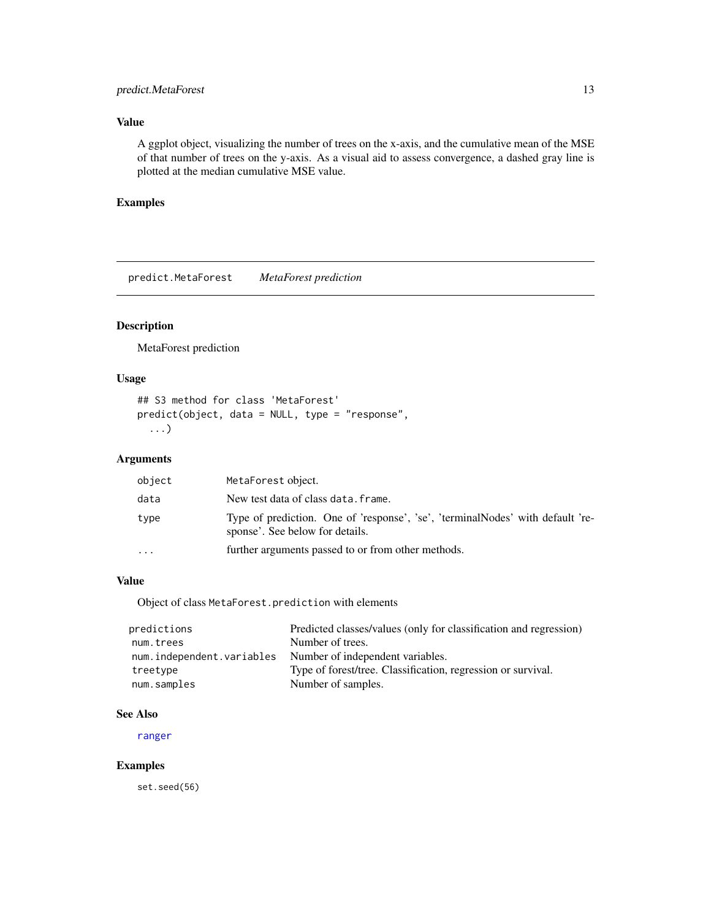## <span id="page-12-0"></span>predict.MetaForest 13

## Value

A ggplot object, visualizing the number of trees on the x-axis, and the cumulative mean of the MSE of that number of trees on the y-axis. As a visual aid to assess convergence, a dashed gray line is plotted at the median cumulative MSE value.

#### Examples

predict.MetaForest *MetaForest prediction*

## Description

MetaForest prediction

## Usage

```
## S3 method for class 'MetaForest'
predict(object, data = NULL, type = "response",
  ...)
```
## Arguments

| object   | MetaForest object.                                                                                                |
|----------|-------------------------------------------------------------------------------------------------------------------|
| data     | New test data of class data. frame.                                                                               |
| type     | Type of prediction. One of 'response', 'se', 'terminalNodes' with default 're-<br>sponse'. See below for details. |
| $\ddots$ | further arguments passed to or from other methods.                                                                |

## Value

Object of class MetaForest.prediction with elements

| predictions               | Predicted classes/values (only for classification and regression) |
|---------------------------|-------------------------------------------------------------------|
| num.trees                 | Number of trees.                                                  |
| num.independent.variables | Number of independent variables.                                  |
| treetype                  | Type of forest/tree. Classification, regression or survival.      |
| num.samples               | Number of samples.                                                |

#### See Also

[ranger](#page-0-0)

## Examples

set.seed(56)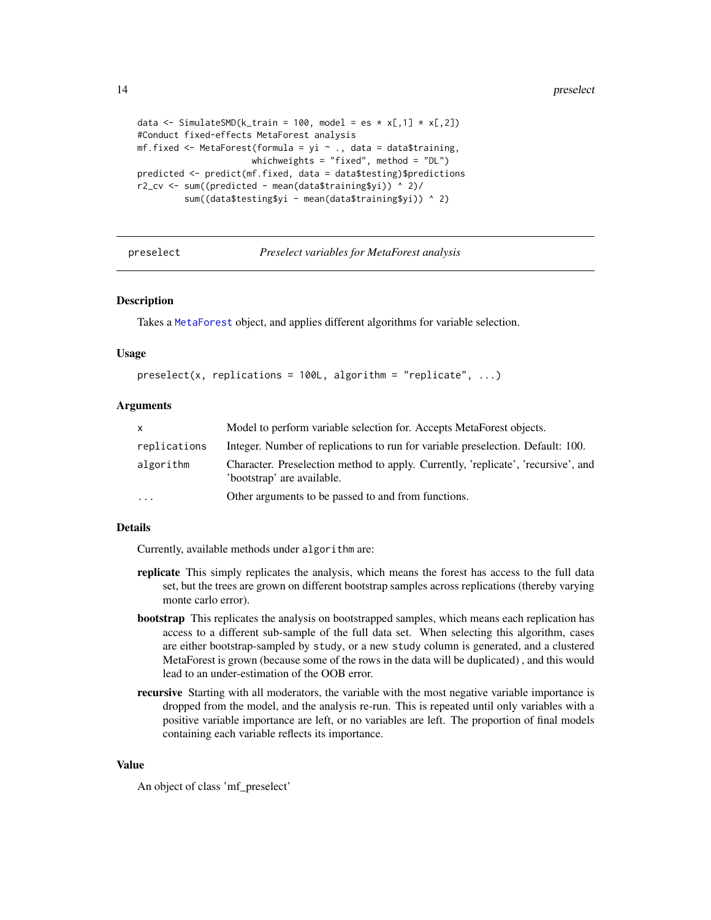```
data <- SimulateSMD(k_train = 100, model = es * x[,1] * x[,2])
#Conduct fixed-effects MetaForest analysis
mf.fixed <- MetaForest(formula = yi \sim ., data = data$training,
                      whichweights = "fixed", method = "DL")
predicted <- predict(mf.fixed, data = data$testing)$predictions
r2_cv <- sum((predicted - mean(data$training$yi)) ^ 2)/
         sum((data$testing$yi - mean(data$training$yi)) ^ 2)
```
preselect *Preselect variables for MetaForest analysis*

#### Description

Takes a [MetaForest](#page-4-1) object, and applies different algorithms for variable selection.

#### Usage

```
preselect(x, replication = 100L, algorithm = "replicate", ...)
```
#### Arguments

| X            | Model to perform variable selection for. Accepts MetaForest objects.                                            |  |
|--------------|-----------------------------------------------------------------------------------------------------------------|--|
| replications | Integer. Number of replications to run for variable preselection. Default: 100.                                 |  |
| algorithm    | Character. Preselection method to apply. Currently, 'replicate', 'recursive', and<br>'bootstrap' are available. |  |
| $\cdots$     | Other arguments to be passed to and from functions.                                                             |  |

#### Details

Currently, available methods under algorithm are:

- replicate This simply replicates the analysis, which means the forest has access to the full data set, but the trees are grown on different bootstrap samples across replications (thereby varying monte carlo error).
- bootstrap This replicates the analysis on bootstrapped samples, which means each replication has access to a different sub-sample of the full data set. When selecting this algorithm, cases are either bootstrap-sampled by study, or a new study column is generated, and a clustered MetaForest is grown (because some of the rows in the data will be duplicated) , and this would lead to an under-estimation of the OOB error.
- recursive Starting with all moderators, the variable with the most negative variable importance is dropped from the model, and the analysis re-run. This is repeated until only variables with a positive variable importance are left, or no variables are left. The proportion of final models containing each variable reflects its importance.

### Value

An object of class 'mf\_preselect'

<span id="page-13-0"></span>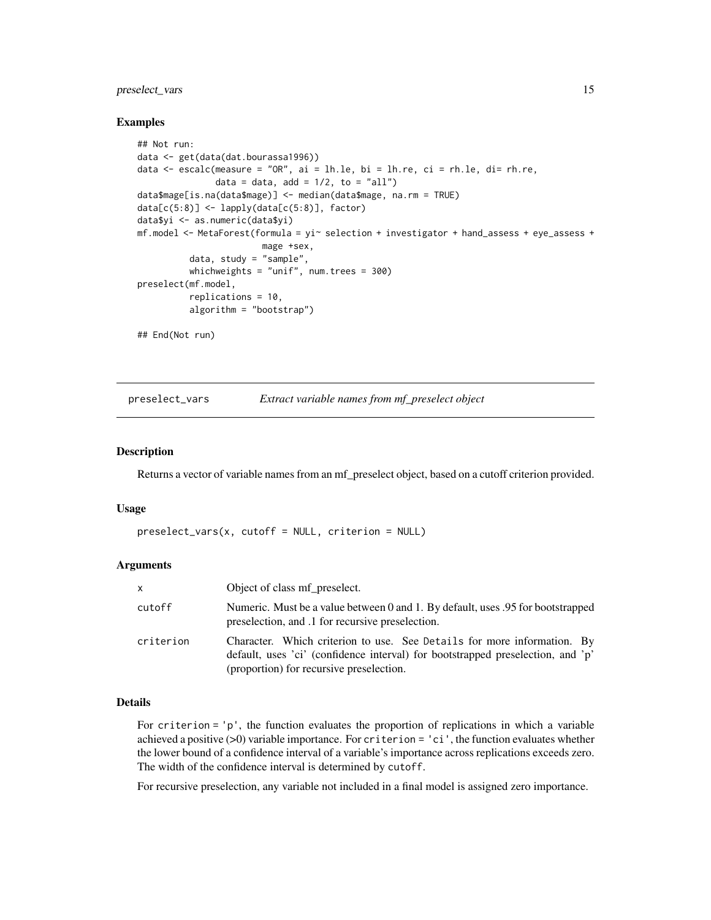## <span id="page-14-0"></span>preselect\_vars 15

#### Examples

```
## Not run:
data <- get(data(dat.bourassa1996))
data \leq escalc(measure = "OR", ai = lh.le, bi = lh.re, ci = rh.le, di= rh.re,
               data = data, add = 1/2, to = "all")
data$mage[is.na(data$mage)] <- median(data$mage, na.rm = TRUE)
data[c(5:8)] \leftarrow \text{lapply}(data[c(5:8)], factor)data$yi <- as.numeric(data$yi)
mf.model \leq-MetaForest(formula = yi\leq selection + investigator + hand_assess + eye_assess +
                         mage +sex,
          data, study = "sample",
          whichweights = "unif", num.trees = 300)
preselect(mf.model,
          replications = 10,
          algorithm = "bootstrap")
## End(Not run)
```
preselect\_vars *Extract variable names from mf\_preselect object*

#### **Description**

Returns a vector of variable names from an mf\_preselect object, based on a cutoff criterion provided.

#### Usage

```
preselect_vars(x, cutoff = NULL, criterion = NULL)
```
#### Arguments

| $\mathsf{x}$ | Object of class mf_preselect.                                                                                                                                                                          |  |
|--------------|--------------------------------------------------------------------------------------------------------------------------------------------------------------------------------------------------------|--|
| cutoff       | Numeric. Must be a value between 0 and 1. By default, uses 0.95 for bootstrapped<br>preselection, and .1 for recursive preselection.                                                                   |  |
| criterion    | Character. Which criterion to use. See Details for more information. By<br>default, uses 'ci' (confidence interval) for bootstrapped preselection, and 'p'<br>(proportion) for recursive preselection. |  |

#### Details

For criterion = 'p', the function evaluates the proportion of replications in which a variable achieved a positive (>0) variable importance. For criterion = 'ci', the function evaluates whether the lower bound of a confidence interval of a variable's importance across replications exceeds zero. The width of the confidence interval is determined by cutoff.

For recursive preselection, any variable not included in a final model is assigned zero importance.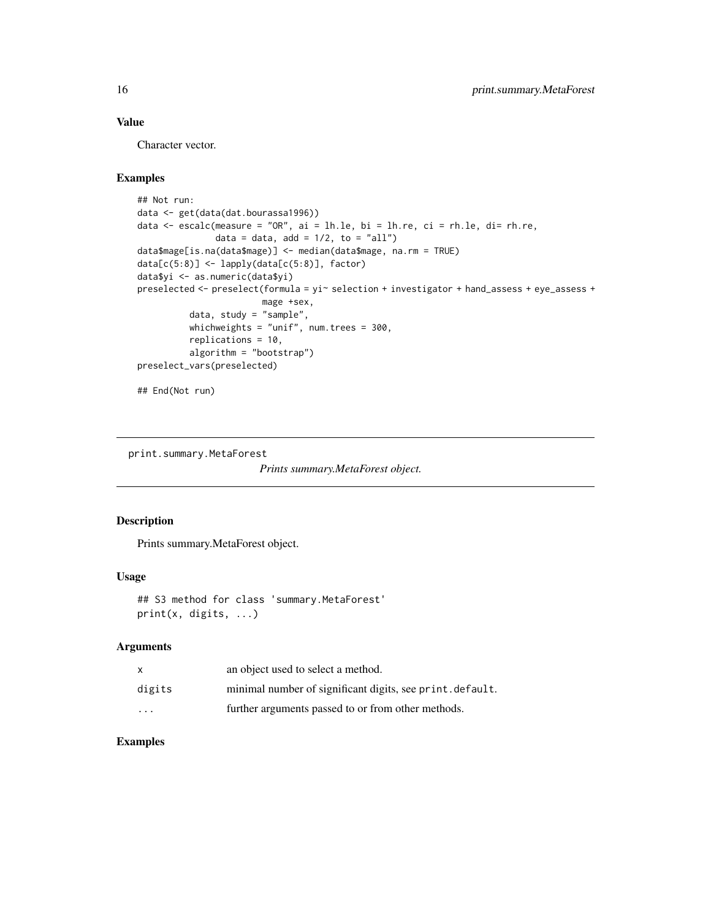## Value

Character vector.

## Examples

```
## Not run:
data <- get(data(dat.bourassa1996))
data \leq escalc(measure = "OR", ai = lh.le, bi = lh.re, ci = rh.le, di= rh.re,
               data = data, add = 1/2, to = "all")
data$mage[is.na(data$mage)] <- median(data$mage, na.rm = TRUE)
data[c(5:8)] <- lapply(data[c(5:8)], factor)
data$yi <- as.numeric(data$yi)
preselected <- preselect(formula = yi~ selection + investigator + hand_assess + eye_assess +
                        mage +sex,
          data, study = "sample",
          whichweights = "unif", num.trees = 300,
          replications = 10,
          algorithm = "bootstrap")
preselect_vars(preselected)
## End(Not run)
```
print.summary.MetaForest

```
Prints summary.MetaForest object.
```
#### Description

Prints summary.MetaForest object.

#### Usage

```
## S3 method for class 'summary.MetaForest'
print(x, digits, ...)
```
#### Arguments

|          | an object used to select a method.                        |
|----------|-----------------------------------------------------------|
| digits   | minimal number of significant digits, see print. default. |
| $\cdots$ | further arguments passed to or from other methods.        |

<span id="page-15-0"></span>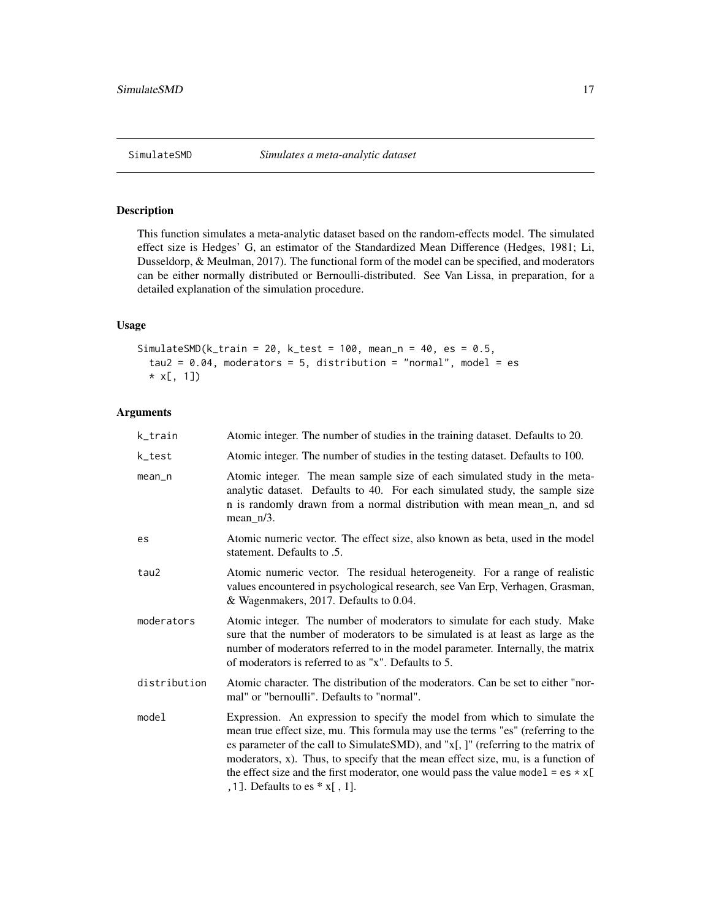<span id="page-16-0"></span>This function simulates a meta-analytic dataset based on the random-effects model. The simulated effect size is Hedges' G, an estimator of the Standardized Mean Difference (Hedges, 1981; Li, Dusseldorp, & Meulman, 2017). The functional form of the model can be specified, and moderators can be either normally distributed or Bernoulli-distributed. See Van Lissa, in preparation, for a detailed explanation of the simulation procedure.

## Usage

```
SimulateSMD(k_ttrain = 20, k_ttest = 100, mean_n = 40, es = 0.5,
  tau2 = 0.04, moderators = 5, distribution = "normal", model = es
  * x[, 1])
```

| k_train      | Atomic integer. The number of studies in the training dataset. Defaults to 20.                                                                                                                                                                                                                                                                                                                                                                                         |
|--------------|------------------------------------------------------------------------------------------------------------------------------------------------------------------------------------------------------------------------------------------------------------------------------------------------------------------------------------------------------------------------------------------------------------------------------------------------------------------------|
| k_test       | Atomic integer. The number of studies in the testing dataset. Defaults to 100.                                                                                                                                                                                                                                                                                                                                                                                         |
| mean_n       | Atomic integer. The mean sample size of each simulated study in the meta-<br>analytic dataset. Defaults to 40. For each simulated study, the sample size<br>n is randomly drawn from a normal distribution with mean mean_n, and sd<br>$mean_n/3$ .                                                                                                                                                                                                                    |
| es           | Atomic numeric vector. The effect size, also known as beta, used in the model<br>statement. Defaults to .5.                                                                                                                                                                                                                                                                                                                                                            |
| tau2         | Atomic numeric vector. The residual heterogeneity. For a range of realistic<br>values encountered in psychological research, see Van Erp, Verhagen, Grasman,<br>& Wagenmakers, 2017. Defaults to 0.04.                                                                                                                                                                                                                                                                 |
| moderators   | Atomic integer. The number of moderators to simulate for each study. Make<br>sure that the number of moderators to be simulated is at least as large as the<br>number of moderators referred to in the model parameter. Internally, the matrix<br>of moderators is referred to as "x". Defaults to 5.                                                                                                                                                                  |
| distribution | Atomic character. The distribution of the moderators. Can be set to either "nor-<br>mal" or "bernoulli". Defaults to "normal".                                                                                                                                                                                                                                                                                                                                         |
| model        | Expression. An expression to specify the model from which to simulate the<br>mean true effect size, mu. This formula may use the terms "es" (referring to the<br>es parameter of the call to SimulateSMD), and "x[,]" (referring to the matrix of<br>moderators, x). Thus, to specify that the mean effect size, mu, is a function of<br>the effect size and the first moderator, one would pass the value model = $es \times x$ [<br>, 1]. Defaults to es $*$ x[, 1]. |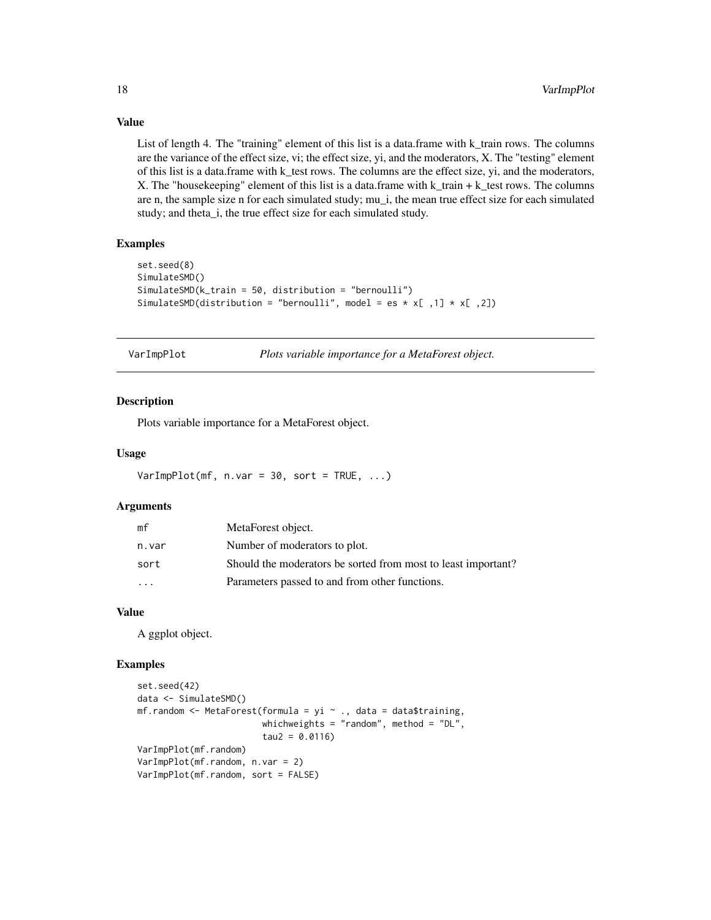## Value

List of length 4. The "training" element of this list is a data.frame with k\_train rows. The columns are the variance of the effect size, vi; the effect size, yi, and the moderators, X. The "testing" element of this list is a data.frame with k\_test rows. The columns are the effect size, yi, and the moderators, X. The "housekeeping" element of this list is a data.frame with k\_train + k\_test rows. The columns are n, the sample size n for each simulated study; mu\_i, the mean true effect size for each simulated study; and theta\_i, the true effect size for each simulated study.

#### Examples

```
set.seed(8)
SimulateSMD()
SimulateSMD(k_train = 50, distribution = "bernoulli")
SimulateSMD(distribution = "bernoulli", model = es * x[ ,1] * x[ ,2])
```
VarImpPlot *Plots variable importance for a MetaForest object.*

## **Description**

Plots variable importance for a MetaForest object.

#### Usage

 $VarImpPlot(mf, n.var = 30, sort = TRUE, ...)$ 

#### Arguments

| mf      | MetaForest object.                                            |
|---------|---------------------------------------------------------------|
| n.var   | Number of moderators to plot.                                 |
| sort    | Should the moderators be sorted from most to least important? |
| $\cdot$ | Parameters passed to and from other functions.                |

## Value

A ggplot object.

```
set.seed(42)
data <- SimulateSMD()
mf.random <- MetaForest(formula = yi \sim ., data = data$training,
                        whichweights = "random", method = "DL",
                        tau2 = 0.0116VarImpPlot(mf.random)
VarImpPlot(mf.random, n.var = 2)
VarImpPlot(mf.random, sort = FALSE)
```
<span id="page-17-0"></span>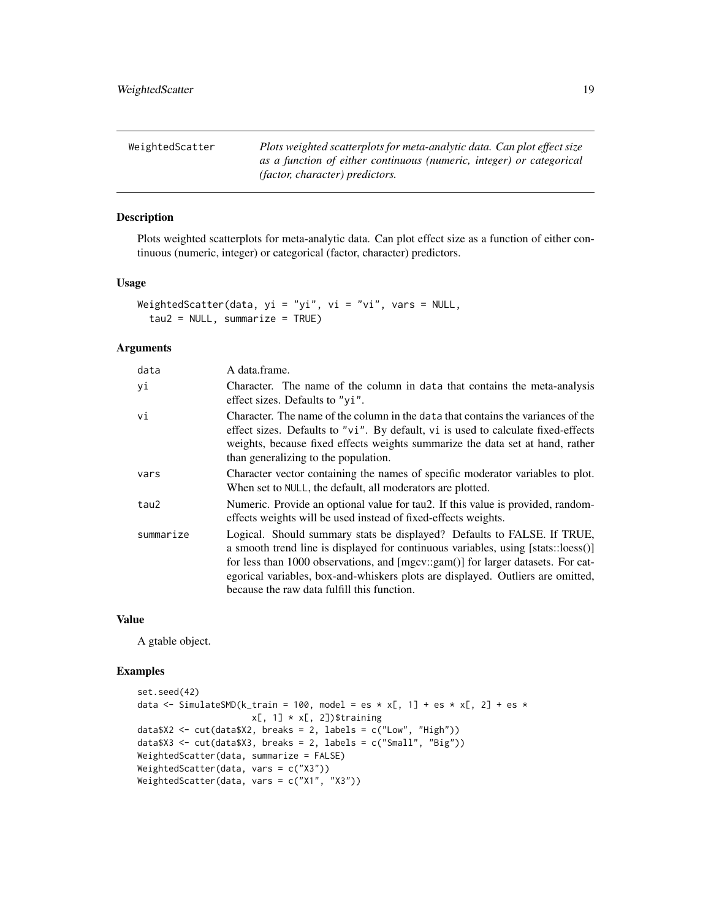<span id="page-18-0"></span>

| WeightedScatter | Plots weighted scatterplots for meta-analytic data. Can plot effect size |
|-----------------|--------------------------------------------------------------------------|
|                 | as a function of either continuous (numeric, integer) or categorical     |
|                 | <i>(factor, character) predictors.</i>                                   |

Plots weighted scatterplots for meta-analytic data. Can plot effect size as a function of either continuous (numeric, integer) or categorical (factor, character) predictors.

## Usage

```
WeightedScatter(data, yi = "yi", vi = "vi", vars = NULL,
  tau2 = NULL, summarize = TRUE)
```
#### Arguments

| data      | A data.frame.                                                                                                                                                                                                                                                                                                                                                                      |
|-----------|------------------------------------------------------------------------------------------------------------------------------------------------------------------------------------------------------------------------------------------------------------------------------------------------------------------------------------------------------------------------------------|
| уi        | Character. The name of the column in data that contains the meta-analysis<br>effect sizes. Defaults to "yi".                                                                                                                                                                                                                                                                       |
| vi        | Character. The name of the column in the data that contains the variances of the<br>effect sizes. Defaults to "vi". By default, vi is used to calculate fixed-effects<br>weights, because fixed effects weights summarize the data set at hand, rather<br>than generalizing to the population.                                                                                     |
| vars      | Character vector containing the names of specific moderator variables to plot.<br>When set to NULL, the default, all moderators are plotted.                                                                                                                                                                                                                                       |
| tau2      | Numeric. Provide an optional value for tau2. If this value is provided, random-<br>effects weights will be used instead of fixed-effects weights.                                                                                                                                                                                                                                  |
| summarize | Logical. Should summary stats be displayed? Defaults to FALSE. If TRUE,<br>a smooth trend line is displayed for continuous variables, using [stats::loess()]<br>for less than 1000 observations, and [mgcv::gam()] for larger datasets. For cat-<br>egorical variables, box-and-whiskers plots are displayed. Outliers are omitted,<br>because the raw data fulfill this function. |

#### Value

A gtable object.

```
set.seed(42)
data <- SimulateSMD(k_train = 100, model = es * x[, 1] + es * x[, 2] + es *
                     x[, 1] * x[, 2])$training
data$X2 <- cut(data$X2, breaks = 2, labels = c("Low", "High"))
data$X3 <- cut(data$X3, breaks = 2, labels = c("Small", "Big"))
WeightedScatter(data, summarize = FALSE)
WeightedScatter(data, vars = c("X3"))
WeightedScatter(data, vars = c("X1", "X3"))
```